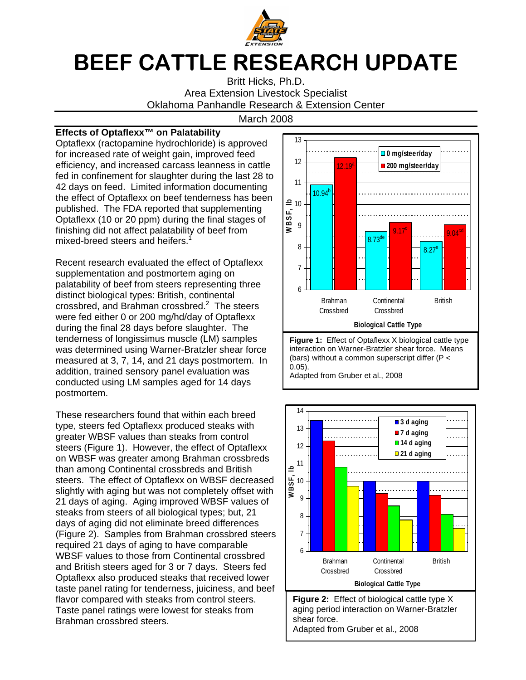

## BEEF CATTLE RESEARCH UPDATE

Britt Hicks, Ph.D. Area Extension Livestock Specialist Oklahoma Panhandle Research & Extension Center

## March 2008

## **Effects of Optaflexx™ on Palatability**

Optaflexx (ractopamine hydrochloride) is approved for increased rate of weight gain, improved feed efficiency, and increased carcass leanness in cattle fed in confinement for slaughter during the last 28 to 42 days on feed. Limited information documenting the effect of Optaflexx on beef tenderness has been published. The FDA reported that supplementing Optaflexx (10 or 20 ppm) during the final stages of finishing did not affect palatability of beef from mixed-breed steers and heifers.<sup>1</sup>

Recent research evaluated the effect of Optaflexx supplementation and postmortem aging on palatability of beef from steers representing three distinct biological types: British, continental crossbred, and Brahman crossbred.<sup>2</sup> The steers were fed either 0 or 200 mg/hd/day of Optaflexx during the final 28 days before slaughter. The tenderness of longissimus muscle (LM) samples was determined using Warner-Bratzler shear force measured at 3, 7, 14, and 21 days postmortem. In addition, trained sensory panel evaluation was conducted using LM samples aged for 14 days postmortem.

These researchers found that within each breed type, steers fed Optaflexx produced steaks with greater WBSF values than steaks from control steers (Figure 1). However, the effect of Optaflexx on WBSF was greater among Brahman crossbreds than among Continental crossbreds and British steers. The effect of Optaflexx on WBSF decreased slightly with aging but was not completely offset with 21 days of aging. Aging improved WBSF values of steaks from steers of all biological types; but, 21 days of aging did not eliminate breed differences (Figure 2). Samples from Brahman crossbred steers required 21 days of aging to have comparable WBSF values to those from Continental crossbred and British steers aged for 3 or 7 days. Steers fed Optaflexx also produced steaks that received lower taste panel rating for tenderness, juiciness, and beef flavor compared with steaks from control steers. Taste panel ratings were lowest for steaks from Brahman crossbred steers.



interaction on Warner-Bratzler shear force. Means (bars) without a common superscript differ (P < 0.05). Adapted from Gruber et al., 2008

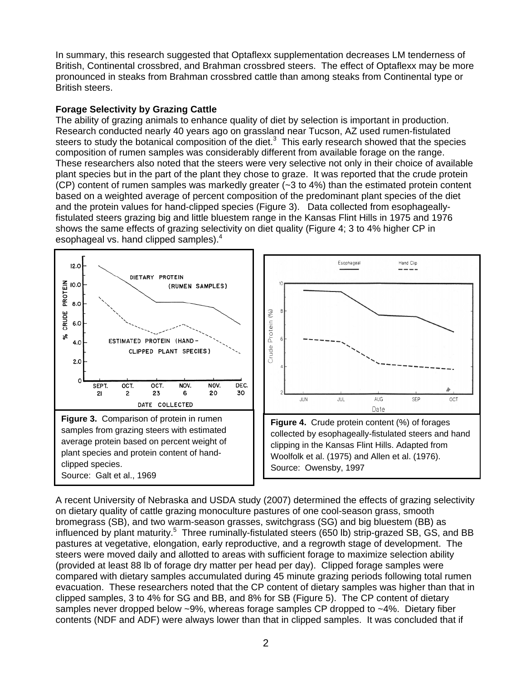In summary, this research suggested that Optaflexx supplementation decreases LM tenderness of British, Continental crossbred, and Brahman crossbred steers. The effect of Optaflexx may be more pronounced in steaks from Brahman crossbred cattle than among steaks from Continental type or British steers.

## **Forage Selectivity by Grazing Cattle**

The ability of grazing animals to enhance quality of diet by selection is important in production. Research conducted nearly 40 years ago on grassland near Tucson, AZ used rumen-fistulated steers to study the botanical composition of the diet. $3$  This early research showed that the species composition of rumen samples was considerably different from available forage on the range. These researchers also noted that the steers were very selective not only in their choice of available plant species but in the part of the plant they chose to graze. It was reported that the crude protein  $(CP)$  content of rumen samples was markedly greater  $(-3 \text{ to } 4\%)$  than the estimated protein content based on a weighted average of percent composition of the predominant plant species of the diet and the protein values for hand-clipped species (Figure 3). Data collected from esophageallyfistulated steers grazing big and little bluestem range in the Kansas Flint Hills in 1975 and 1976 shows the same effects of grazing selectivity on diet quality (Figure 4; 3 to 4% higher CP in esophageal vs. hand clipped samples).<sup>4</sup>



A recent University of Nebraska and USDA study (2007) determined the effects of grazing selectivity on dietary quality of cattle grazing monoculture pastures of one cool-season grass, smooth bromegrass (SB), and two warm-season grasses, switchgrass (SG) and big bluestem (BB) as influenced by plant maturity.<sup>5</sup> Three ruminally-fistulated steers (650 lb) strip-grazed SB, GS, and BB pastures at vegetative, elongation, early reproductive, and a regrowth stage of development. The steers were moved daily and allotted to areas with sufficient forage to maximize selection ability (provided at least 88 lb of forage dry matter per head per day). Clipped forage samples were compared with dietary samples accumulated during 45 minute grazing periods following total rumen evacuation. These researchers noted that the CP content of dietary samples was higher than that in clipped samples, 3 to 4% for SG and BB, and 8% for SB (Figure 5). The CP content of dietary samples never dropped below ~9%, whereas forage samples CP dropped to ~4%. Dietary fiber contents (NDF and ADF) were always lower than that in clipped samples. It was concluded that if